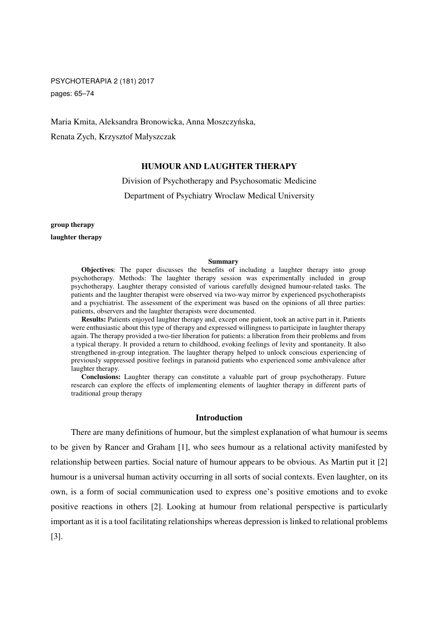PSYCHOTERAPIA 2 (181) 2017 pages: 65–74

Maria Kmita, Aleksandra Bronowicka, Anna Moszczyńska, Renata Zych, Krzysztof Małyszczak

# **HUMOUR AND LAUGHTER THERAPY**

Division of Psychotherapy and Psychosomatic Medicine Department of Psychiatry Wroclaw Medical University

**group therapy** 

**laughter therapy** 

#### **Summary**

**Objectives:** The paper discusses the benefits of including a laughter therapy into group psychotherapy. Methods: The laughter therapy session was experimentally included in group psychotherapy. Laughter therapy consisted of various carefully designed humour-related tasks. The patients and the laughter therapist were observed via two-way mirror by experienced psychotherapists and a psychiatrist. The assessment of the experiment was based on the opinions of all three parties: patients, observers and the laughter therapists were documented.

**Results:** Patients enjoyed laughter therapy and, except one patient, took an active part in it. Patients were enthusiastic about this type of therapy and expressed willingness to participate in laughter therapy again. The therapy provided a two-tier liberation for patients: a liberation from their problems and from a typical therapy. It provided a return to childhood, evoking feelings of levity and spontaneity. It also strengthened in-group integration. The laughter therapy helped to unlock conscious experiencing of previously suppressed positive feelings in paranoid patients who experienced some ambivalence after laughter therapy.

**Conclusions:** Laughter therapy can constitute a valuable part of group psychotherapy. Future research can explore the effects of implementing elements of laughter therapy in different parts of traditional group therapy

## **Introduction**

There are many definitions of humour, but the simplest explanation of what humour is seems to be given by Rancer and Graham [1], who sees humour as a relational activity manifested by relationship between parties. Social nature of humour appears to be obvious. As Martin put it [2] humour is a universal human activity occurring in all sorts of social contexts. Even laughter, on its own, is a form of social communication used to express one's positive emotions and to evoke positive reactions in others [2]. Looking at humour from relational perspective is particularly important as it is a tool facilitating relationships whereas depression is linked to relational problems [3].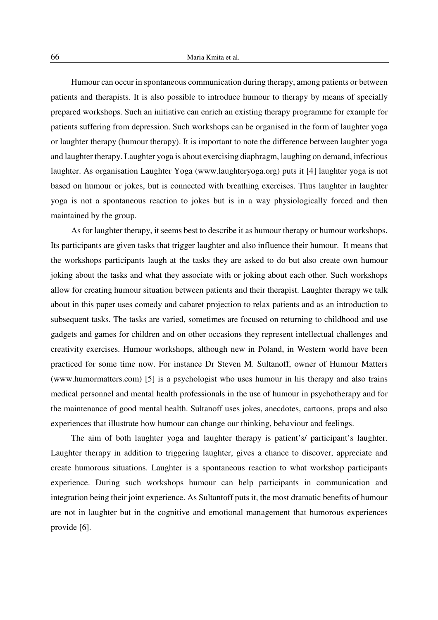Humour can occur in spontaneous communication during therapy, among patients or between patients and therapists. It is also possible to introduce humour to therapy by means of specially prepared workshops. Such an initiative can enrich an existing therapy programme for example for patients suffering from depression. Such workshops can be organised in the form of laughter yoga or laughter therapy (humour therapy). It is important to note the difference between laughter yoga and laughter therapy. Laughter yoga is about exercising diaphragm, laughing on demand, infectious laughter. As organisation Laughter Yoga (www.laughteryoga.org) puts it [4] laughter yoga is not based on humour or jokes, but is connected with breathing exercises. Thus laughter in laughter yoga is not a spontaneous reaction to jokes but is in a way physiologically forced and then maintained by the group.

As for laughter therapy, it seems best to describe it as humour therapy or humour workshops. Its participants are given tasks that trigger laughter and also influence their humour. It means that the workshops participants laugh at the tasks they are asked to do but also create own humour joking about the tasks and what they associate with or joking about each other. Such workshops allow for creating humour situation between patients and their therapist. Laughter therapy we talk about in this paper uses comedy and cabaret projection to relax patients and as an introduction to subsequent tasks. The tasks are varied, sometimes are focused on returning to childhood and use gadgets and games for children and on other occasions they represent intellectual challenges and creativity exercises. Humour workshops, although new in Poland, in Western world have been practiced for some time now. For instance Dr Steven M. Sultanoff, owner of Humour Matters (www.humormatters.com) [5] is a psychologist who uses humour in his therapy and also trains medical personnel and mental health professionals in the use of humour in psychotherapy and for the maintenance of good mental health. Sultanoff uses jokes, anecdotes, cartoons, props and also experiences that illustrate how humour can change our thinking, behaviour and feelings.

The aim of both laughter yoga and laughter therapy is patient's/ participant's laughter. Laughter therapy in addition to triggering laughter, gives a chance to discover, appreciate and create humorous situations. Laughter is a spontaneous reaction to what workshop participants experience. During such workshops humour can help participants in communication and integration being their joint experience. As Sultantoff puts it, the most dramatic benefits of humour are not in laughter but in the cognitive and emotional management that humorous experiences provide [6].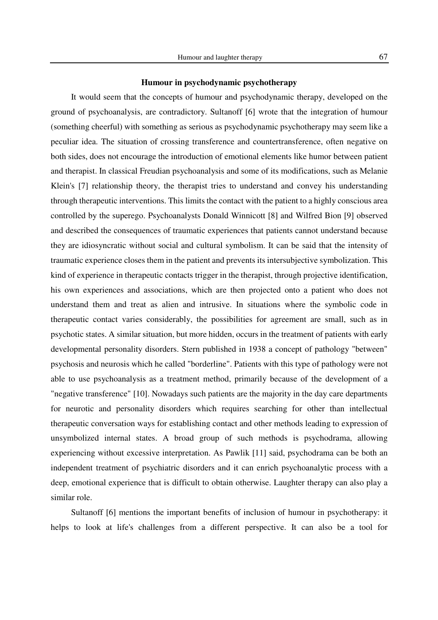It would seem that the concepts of humour and psychodynamic therapy, developed on the ground of psychoanalysis, are contradictory. Sultanoff [6] wrote that the integration of humour (something cheerful) with something as serious as psychodynamic psychotherapy may seem like a peculiar idea. The situation of crossing transference and countertransference, often negative on both sides, does not encourage the introduction of emotional elements like humor between patient and therapist. In classical Freudian psychoanalysis and some of its modifications, such as Melanie Klein's [7] relationship theory, the therapist tries to understand and convey his understanding through therapeutic interventions. This limits the contact with the patient to a highly conscious area controlled by the superego. Psychoanalysts Donald Winnicott [8] and Wilfred Bion [9] observed and described the consequences of traumatic experiences that patients cannot understand because they are idiosyncratic without social and cultural symbolism. It can be said that the intensity of traumatic experience closes them in the patient and prevents its intersubjective symbolization. This kind of experience in therapeutic contacts trigger in the therapist, through projective identification, his own experiences and associations, which are then projected onto a patient who does not understand them and treat as alien and intrusive. In situations where the symbolic code in therapeutic contact varies considerably, the possibilities for agreement are small, such as in psychotic states. A similar situation, but more hidden, occurs in the treatment of patients with early developmental personality disorders. Stern published in 1938 a concept of pathology "between" psychosis and neurosis which he called "borderline". Patients with this type of pathology were not able to use psychoanalysis as a treatment method, primarily because of the development of a "negative transference" [10]. Nowadays such patients are the majority in the day care departments for neurotic and personality disorders which requires searching for other than intellectual therapeutic conversation ways for establishing contact and other methods leading to expression of unsymbolized internal states. A broad group of such methods is psychodrama, allowing experiencing without excessive interpretation. As Pawlik [11] said, psychodrama can be both an independent treatment of psychiatric disorders and it can enrich psychoanalytic process with a deep, emotional experience that is difficult to obtain otherwise. Laughter therapy can also play a similar role.

Sultanoff [6] mentions the important benefits of inclusion of humour in psychotherapy: it helps to look at life's challenges from a different perspective. It can also be a tool for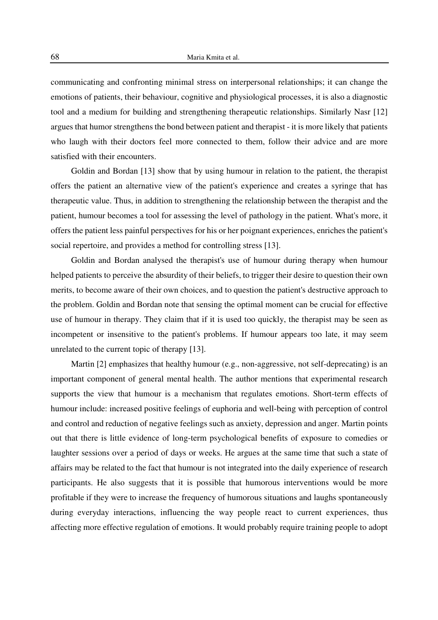communicating and confronting minimal stress on interpersonal relationships; it can change the emotions of patients, their behaviour, cognitive and physiological processes, it is also a diagnostic tool and a medium for building and strengthening therapeutic relationships. Similarly Nasr [12] argues that humor strengthens the bond between patient and therapist - it is more likely that patients who laugh with their doctors feel more connected to them, follow their advice and are more satisfied with their encounters.

Goldin and Bordan [13] show that by using humour in relation to the patient, the therapist offers the patient an alternative view of the patient's experience and creates a syringe that has therapeutic value. Thus, in addition to strengthening the relationship between the therapist and the patient, humour becomes a tool for assessing the level of pathology in the patient. What's more, it offers the patient less painful perspectives for his or her poignant experiences, enriches the patient's social repertoire, and provides a method for controlling stress [13].

Goldin and Bordan analysed the therapist's use of humour during therapy when humour helped patients to perceive the absurdity of their beliefs, to trigger their desire to question their own merits, to become aware of their own choices, and to question the patient's destructive approach to the problem. Goldin and Bordan note that sensing the optimal moment can be crucial for effective use of humour in therapy. They claim that if it is used too quickly, the therapist may be seen as incompetent or insensitive to the patient's problems. If humour appears too late, it may seem unrelated to the current topic of therapy [13].

Martin [2] emphasizes that healthy humour (e.g., non-aggressive, not self-deprecating) is an important component of general mental health. The author mentions that experimental research supports the view that humour is a mechanism that regulates emotions. Short-term effects of humour include: increased positive feelings of euphoria and well-being with perception of control and control and reduction of negative feelings such as anxiety, depression and anger. Martin points out that there is little evidence of long-term psychological benefits of exposure to comedies or laughter sessions over a period of days or weeks. He argues at the same time that such a state of affairs may be related to the fact that humour is not integrated into the daily experience of research participants. He also suggests that it is possible that humorous interventions would be more profitable if they were to increase the frequency of humorous situations and laughs spontaneously during everyday interactions, influencing the way people react to current experiences, thus affecting more effective regulation of emotions. It would probably require training people to adopt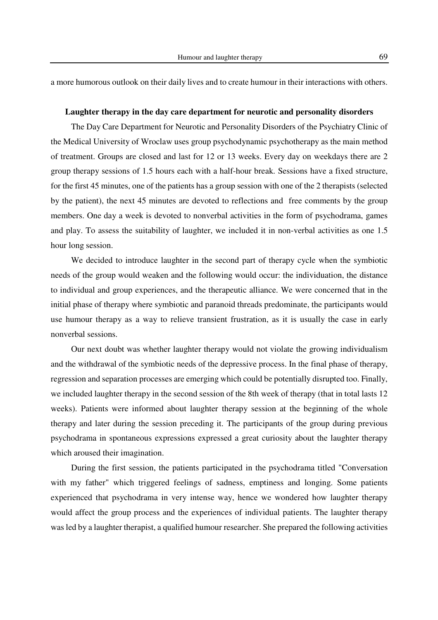a more humorous outlook on their daily lives and to create humour in their interactions with others.

## **Laughter therapy in the day care department for neurotic and personality disorders**

The Day Care Department for Neurotic and Personality Disorders of the Psychiatry Clinic of the Medical University of Wroclaw uses group psychodynamic psychotherapy as the main method of treatment. Groups are closed and last for 12 or 13 weeks. Every day on weekdays there are 2 group therapy sessions of 1.5 hours each with a half-hour break. Sessions have a fixed structure, for the first 45 minutes, one of the patients has a group session with one of the 2 therapists (selected by the patient), the next 45 minutes are devoted to reflections and free comments by the group members. One day a week is devoted to nonverbal activities in the form of psychodrama, games and play. To assess the suitability of laughter, we included it in non-verbal activities as one 1.5 hour long session.

We decided to introduce laughter in the second part of therapy cycle when the symbiotic needs of the group would weaken and the following would occur: the individuation, the distance to individual and group experiences, and the therapeutic alliance. We were concerned that in the initial phase of therapy where symbiotic and paranoid threads predominate, the participants would use humour therapy as a way to relieve transient frustration, as it is usually the case in early nonverbal sessions.

Our next doubt was whether laughter therapy would not violate the growing individualism and the withdrawal of the symbiotic needs of the depressive process. In the final phase of therapy, regression and separation processes are emerging which could be potentially disrupted too. Finally, we included laughter therapy in the second session of the 8th week of therapy (that in total lasts 12 weeks). Patients were informed about laughter therapy session at the beginning of the whole therapy and later during the session preceding it. The participants of the group during previous psychodrama in spontaneous expressions expressed a great curiosity about the laughter therapy which aroused their imagination.

During the first session, the patients participated in the psychodrama titled "Conversation with my father" which triggered feelings of sadness, emptiness and longing. Some patients experienced that psychodrama in very intense way, hence we wondered how laughter therapy would affect the group process and the experiences of individual patients. The laughter therapy was led by a laughter therapist, a qualified humour researcher. She prepared the following activities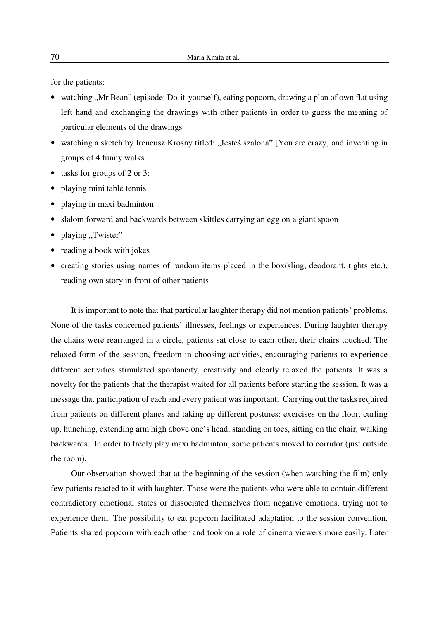for the patients:

- watching "Mr Bean" (episode: Do-it-yourself), eating popcorn, drawing a plan of own flat using left hand and exchanging the drawings with other patients in order to guess the meaning of particular elements of the drawings
- watching a sketch by Ireneusz Krosny titled: "Jesteś szalona" [You are crazy] and inventing in groups of 4 funny walks
- tasks for groups of 2 or 3:
- playing mini table tennis
- playing in maxi badminton
- slalom forward and backwards between skittles carrying an egg on a giant spoon
- playing "Twister"
- reading a book with jokes
- creating stories using names of random items placed in the box(sling, deodorant, tights etc.), reading own story in front of other patients

It is important to note that that particular laughter therapy did not mention patients' problems. None of the tasks concerned patients' illnesses, feelings or experiences. During laughter therapy the chairs were rearranged in a circle, patients sat close to each other, their chairs touched. The relaxed form of the session, freedom in choosing activities, encouraging patients to experience different activities stimulated spontaneity, creativity and clearly relaxed the patients. It was a novelty for the patients that the therapist waited for all patients before starting the session. It was a message that participation of each and every patient was important. Carrying out the tasks required from patients on different planes and taking up different postures: exercises on the floor, curling up, hunching, extending arm high above one's head, standing on toes, sitting on the chair, walking backwards. In order to freely play maxi badminton, some patients moved to corridor (just outside the room).

Our observation showed that at the beginning of the session (when watching the film) only few patients reacted to it with laughter. Those were the patients who were able to contain different contradictory emotional states or dissociated themselves from negative emotions, trying not to experience them. The possibility to eat popcorn facilitated adaptation to the session convention. Patients shared popcorn with each other and took on a role of cinema viewers more easily. Later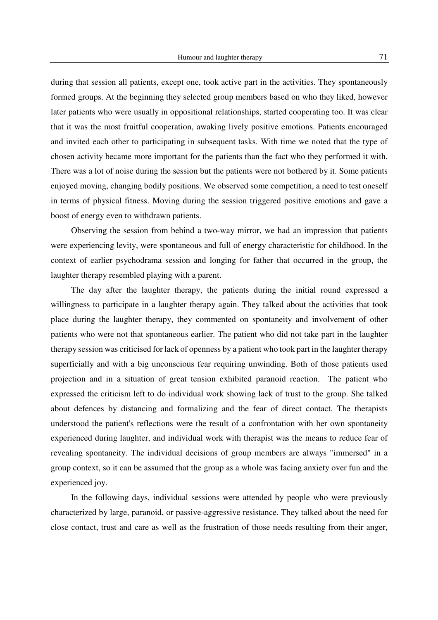during that session all patients, except one, took active part in the activities. They spontaneously formed groups. At the beginning they selected group members based on who they liked, however later patients who were usually in oppositional relationships, started cooperating too. It was clear that it was the most fruitful cooperation, awaking lively positive emotions. Patients encouraged and invited each other to participating in subsequent tasks. With time we noted that the type of chosen activity became more important for the patients than the fact who they performed it with. There was a lot of noise during the session but the patients were not bothered by it. Some patients enjoyed moving, changing bodily positions. We observed some competition, a need to test oneself in terms of physical fitness. Moving during the session triggered positive emotions and gave a boost of energy even to withdrawn patients.

Observing the session from behind a two-way mirror, we had an impression that patients were experiencing levity, were spontaneous and full of energy characteristic for childhood. In the context of earlier psychodrama session and longing for father that occurred in the group, the laughter therapy resembled playing with a parent.

The day after the laughter therapy, the patients during the initial round expressed a willingness to participate in a laughter therapy again. They talked about the activities that took place during the laughter therapy, they commented on spontaneity and involvement of other patients who were not that spontaneous earlier. The patient who did not take part in the laughter therapy session was criticised for lack of openness by a patient who took part in the laughter therapy superficially and with a big unconscious fear requiring unwinding. Both of those patients used projection and in a situation of great tension exhibited paranoid reaction. The patient who expressed the criticism left to do individual work showing lack of trust to the group. She talked about defences by distancing and formalizing and the fear of direct contact. The therapists understood the patient's reflections were the result of a confrontation with her own spontaneity experienced during laughter, and individual work with therapist was the means to reduce fear of revealing spontaneity. The individual decisions of group members are always "immersed" in a group context, so it can be assumed that the group as a whole was facing anxiety over fun and the experienced joy.

In the following days, individual sessions were attended by people who were previously characterized by large, paranoid, or passive-aggressive resistance. They talked about the need for close contact, trust and care as well as the frustration of those needs resulting from their anger,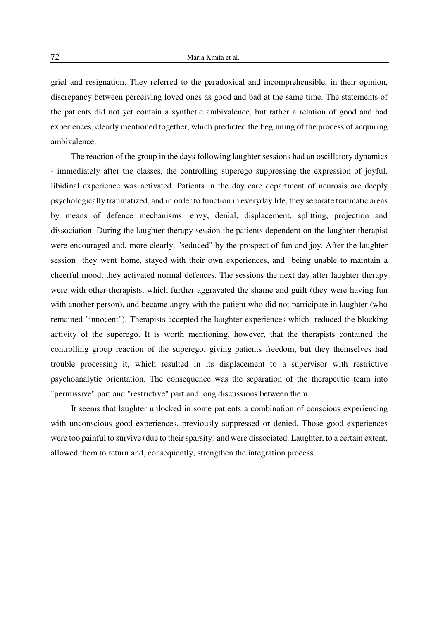grief and resignation. They referred to the paradoxical and incomprehensible, in their opinion, discrepancy between perceiving loved ones as good and bad at the same time. The statements of the patients did not yet contain a synthetic ambivalence, but rather a relation of good and bad experiences, clearly mentioned together, which predicted the beginning of the process of acquiring ambivalence.

The reaction of the group in the days following laughter sessions had an oscillatory dynamics - immediately after the classes, the controlling superego suppressing the expression of joyful, libidinal experience was activated. Patients in the day care department of neurosis are deeply psychologically traumatized, and in order to function in everyday life, they separate traumatic areas by means of defence mechanisms: envy, denial, displacement, splitting, projection and dissociation. During the laughter therapy session the patients dependent on the laughter therapist were encouraged and, more clearly, "seduced" by the prospect of fun and joy. After the laughter session they went home, stayed with their own experiences, and being unable to maintain a cheerful mood, they activated normal defences. The sessions the next day after laughter therapy were with other therapists, which further aggravated the shame and guilt (they were having fun with another person), and became angry with the patient who did not participate in laughter (who remained "innocent"). Therapists accepted the laughter experiences which reduced the blocking activity of the superego. It is worth mentioning, however, that the therapists contained the controlling group reaction of the superego, giving patients freedom, but they themselves had trouble processing it, which resulted in its displacement to a supervisor with restrictive psychoanalytic orientation. The consequence was the separation of the therapeutic team into "permissive" part and "restrictive" part and long discussions between them.

It seems that laughter unlocked in some patients a combination of conscious experiencing with unconscious good experiences, previously suppressed or denied. Those good experiences were too painful to survive (due to their sparsity) and were dissociated. Laughter, to a certain extent, allowed them to return and, consequently, strengthen the integration process.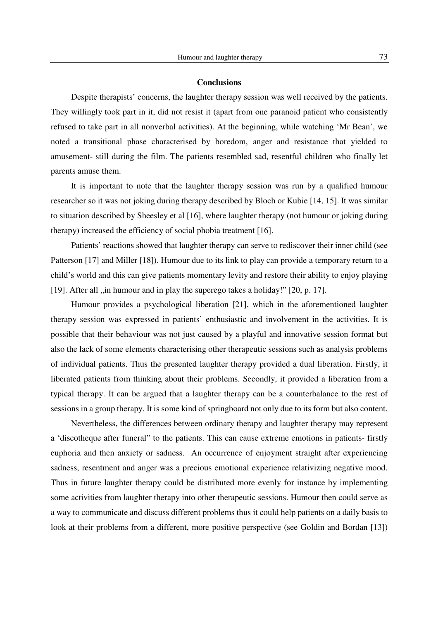## **Conclusions**

Despite therapists' concerns, the laughter therapy session was well received by the patients. They willingly took part in it, did not resist it (apart from one paranoid patient who consistently refused to take part in all nonverbal activities). At the beginning, while watching 'Mr Bean', we noted a transitional phase characterised by boredom, anger and resistance that yielded to amusement- still during the film. The patients resembled sad, resentful children who finally let parents amuse them.

It is important to note that the laughter therapy session was run by a qualified humour researcher so it was not joking during therapy described by Bloch or Kubie [14, 15]. It was similar to situation described by Sheesley et al [16], where laughter therapy (not humour or joking during therapy) increased the efficiency of social phobia treatment [16].

Patients' reactions showed that laughter therapy can serve to rediscover their inner child (see Patterson [17] and Miller [18]). Humour due to its link to play can provide a temporary return to a child's world and this can give patients momentary levity and restore their ability to enjoy playing [19]. After all ,,in humour and in play the superego takes a holiday!" [20, p. 17].

Humour provides a psychological liberation [21], which in the aforementioned laughter therapy session was expressed in patients' enthusiastic and involvement in the activities. It is possible that their behaviour was not just caused by a playful and innovative session format but also the lack of some elements characterising other therapeutic sessions such as analysis problems of individual patients. Thus the presented laughter therapy provided a dual liberation. Firstly, it liberated patients from thinking about their problems. Secondly, it provided a liberation from a typical therapy. It can be argued that a laughter therapy can be a counterbalance to the rest of sessions in a group therapy. It is some kind of springboard not only due to its form but also content.

Nevertheless, the differences between ordinary therapy and laughter therapy may represent a 'discotheque after funeral" to the patients. This can cause extreme emotions in patients- firstly euphoria and then anxiety or sadness. An occurrence of enjoyment straight after experiencing sadness, resentment and anger was a precious emotional experience relativizing negative mood. Thus in future laughter therapy could be distributed more evenly for instance by implementing some activities from laughter therapy into other therapeutic sessions. Humour then could serve as a way to communicate and discuss different problems thus it could help patients on a daily basis to look at their problems from a different, more positive perspective (see Goldin and Bordan [13])